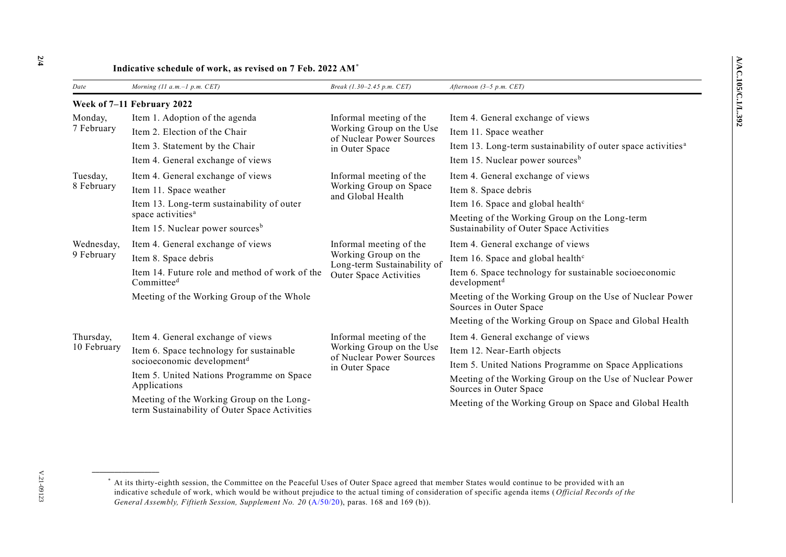| Date                       | Morning (11 $a.m.-1 p.m. CET$ )                                                            | Break (1.30–2.45 p.m. CET)                                                                               | Afternoon $(3-5 p.m. CET)$                                                                |  |
|----------------------------|--------------------------------------------------------------------------------------------|----------------------------------------------------------------------------------------------------------|-------------------------------------------------------------------------------------------|--|
| Week of 7-11 February 2022 |                                                                                            |                                                                                                          |                                                                                           |  |
| Monday,<br>7 February      | Item 1. Adoption of the agenda                                                             | Informal meeting of the<br>Working Group on the Use<br>of Nuclear Power Sources<br>in Outer Space        | Item 4. General exchange of views                                                         |  |
|                            | Item 2. Election of the Chair                                                              |                                                                                                          | Item 11. Space weather                                                                    |  |
|                            | Item 3. Statement by the Chair                                                             |                                                                                                          | Item 13. Long-term sustainability of outer space activities <sup>a</sup>                  |  |
|                            | Item 4. General exchange of views                                                          |                                                                                                          | Item 15. Nuclear power sources <sup>b</sup>                                               |  |
| Tuesday,<br>8 February     | Item 4. General exchange of views                                                          | Informal meeting of the<br>Working Group on Space<br>and Global Health                                   | Item 4. General exchange of views                                                         |  |
|                            | Item 11. Space weather                                                                     |                                                                                                          | Item 8. Space debris                                                                      |  |
|                            | Item 13. Long-term sustainability of outer                                                 |                                                                                                          | Item 16. Space and global health <sup>c</sup>                                             |  |
|                            | space activities <sup>a</sup><br>Item 15. Nuclear power sources <sup>b</sup>               |                                                                                                          | Meeting of the Working Group on the Long-term<br>Sustainability of Outer Space Activities |  |
| Wednesday,<br>9 February   | Item 4. General exchange of views                                                          | Informal meeting of the<br>Working Group on the<br>Long-term Sustainability of<br>Outer Space Activities | Item 4. General exchange of views                                                         |  |
|                            | Item 8. Space debris                                                                       |                                                                                                          | Item 16. Space and global health <sup>c</sup>                                             |  |
|                            | Item 14. Future role and method of work of the<br>Committeed                               |                                                                                                          | Item 6. Space technology for sustainable socioeconomic<br>development <sup>d</sup>        |  |
|                            | Meeting of the Working Group of the Whole                                                  |                                                                                                          | Meeting of the Working Group on the Use of Nuclear Power<br>Sources in Outer Space        |  |
|                            |                                                                                            |                                                                                                          | Meeting of the Working Group on Space and Global Health                                   |  |
| Thursday,<br>10 February   | Item 4. General exchange of views                                                          | Informal meeting of the<br>Working Group on the Use<br>of Nuclear Power Sources<br>in Outer Space        | Item 4. General exchange of views                                                         |  |
|                            | Item 6. Space technology for sustainable                                                   |                                                                                                          | Item 12. Near-Earth objects                                                               |  |
|                            | socioeconomic development <sup>d</sup>                                                     |                                                                                                          | Item 5. United Nations Programme on Space Applications                                    |  |
|                            | Item 5. United Nations Programme on Space<br>Applications                                  |                                                                                                          | Meeting of the Working Group on the Use of Nuclear Power<br>Sources in Outer Space        |  |
|                            | Meeting of the Working Group on the Long-<br>term Sustainability of Outer Space Activities |                                                                                                          | Meeting of the Working Group on Space and Global Health                                   |  |

## **Indicative schedule of work, as revised on 7 Feb. 2022 AM**\*

**\_\_\_\_\_\_\_\_\_\_\_\_\_\_\_\_\_\_**

<sup>\*</sup> At its thirty-eighth session, the Committee on the Peaceful Uses of Outer Space agreed that member States would continue to be provided with an indicative schedule of work, which would be without prejudice to the actual timing of consideration of specific agenda items (*Official Records of the General Assembly, Fiftieth Session, Supplement No. 20* [\(A/50/20\)](http://undocs.org/A/50/20), paras. 168 and 169 (b)).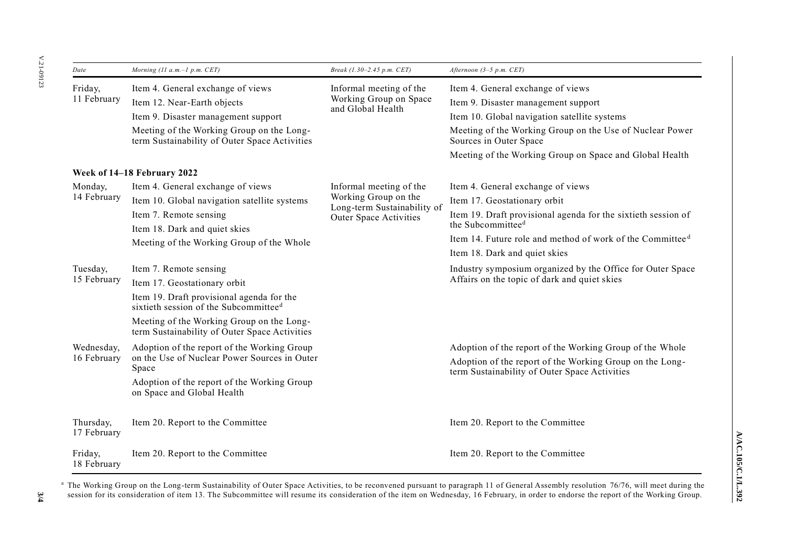| Date                      | Morning (11 a.m. $-1$ p.m. CET)                                                                | Break (1.30-2.45 p.m. CET)                                                                                      | Afternoon $(3-5 p.m. CET)$                                                                                 |
|---------------------------|------------------------------------------------------------------------------------------------|-----------------------------------------------------------------------------------------------------------------|------------------------------------------------------------------------------------------------------------|
| Friday,<br>11 February    | Item 4. General exchange of views                                                              | Informal meeting of the<br>Working Group on Space<br>and Global Health                                          | Item 4. General exchange of views                                                                          |
|                           | Item 12. Near-Earth objects                                                                    |                                                                                                                 | Item 9. Disaster management support                                                                        |
|                           | Item 9. Disaster management support                                                            |                                                                                                                 | Item 10. Global navigation satellite systems                                                               |
|                           | Meeting of the Working Group on the Long-<br>term Sustainability of Outer Space Activities     |                                                                                                                 | Meeting of the Working Group on the Use of Nuclear Power<br>Sources in Outer Space                         |
|                           |                                                                                                |                                                                                                                 | Meeting of the Working Group on Space and Global Health                                                    |
|                           | Week of 14–18 February 2022                                                                    |                                                                                                                 |                                                                                                            |
| Monday,<br>14 February    | Item 4. General exchange of views                                                              | Informal meeting of the<br>Working Group on the<br>Long-term Sustainability of<br><b>Outer Space Activities</b> | Item 4. General exchange of views                                                                          |
|                           | Item 10. Global navigation satellite systems                                                   |                                                                                                                 | Item 17. Geostationary orbit                                                                               |
|                           | Item 7. Remote sensing                                                                         |                                                                                                                 | Item 19. Draft provisional agenda for the sixtieth session of                                              |
|                           | Item 18. Dark and quiet skies                                                                  |                                                                                                                 | the Subcommittee <sup>d</sup>                                                                              |
|                           | Meeting of the Working Group of the Whole                                                      |                                                                                                                 | Item 14. Future role and method of work of the Committee <sup>d</sup>                                      |
|                           |                                                                                                |                                                                                                                 | Item 18. Dark and quiet skies                                                                              |
| Tuesday,                  | Item 7. Remote sensing                                                                         |                                                                                                                 | Industry symposium organized by the Office for Outer Space<br>Affairs on the topic of dark and quiet skies |
| 15 February               | Item 17. Geostationary orbit                                                                   |                                                                                                                 |                                                                                                            |
|                           | Item 19. Draft provisional agenda for the<br>sixtieth session of the Subcommittee <sup>d</sup> |                                                                                                                 |                                                                                                            |
|                           | Meeting of the Working Group on the Long-<br>term Sustainability of Outer Space Activities     |                                                                                                                 |                                                                                                            |
| Wednesday,<br>16 February | Adoption of the report of the Working Group                                                    |                                                                                                                 | Adoption of the report of the Working Group of the Whole                                                   |
|                           | on the Use of Nuclear Power Sources in Outer<br>Space                                          |                                                                                                                 | Adoption of the report of the Working Group on the Long-<br>term Sustainability of Outer Space Activities  |
|                           | Adoption of the report of the Working Group<br>on Space and Global Health                      |                                                                                                                 |                                                                                                            |
| Thursday,<br>17 February  | Item 20. Report to the Committee                                                               |                                                                                                                 | Item 20. Report to the Committee                                                                           |
| Friday,<br>18 February    | Item 20. Report to the Committee                                                               |                                                                                                                 | Item 20. Report to the Committee                                                                           |

<sup>a</sup> The Working Group on the Long-term Sustainability of Outer Space Activities, to be reconvened pursuant to paragraph 11 of General Assembly resolution 76/76, will meet during the session for its consideration of item 13. The Subcommittee will resume its consideration of the item on Wednesday, 16 February, in order to endorse the report of the Working Group.